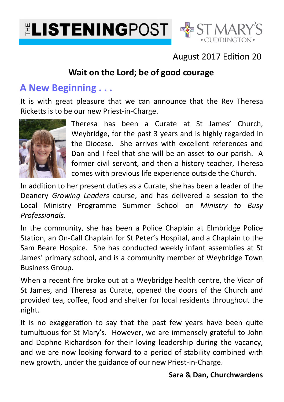



## August 2017 Edition 20

## **Wait on the Lord; be of good courage**

## **A New Beginning . . .**

It is with great pleasure that we can announce that the Rev Theresa Ricketts is to be our new Priest-in-Charge.



Theresa has been a Curate at St James' Church, Weybridge, for the past 3 years and is highly regarded in the Diocese. She arrives with excellent references and Dan and I feel that she will be an asset to our parish. A former civil servant, and then a history teacher, Theresa comes with previous life experience outside the Church.

In addition to her present duties as a Curate, she has been a leader of the Deanery *Growing Leaders* course, and has delivered a session to the Local Ministry Programme Summer School on *Ministry to Busy Professionals*.

In the community, she has been a Police Chaplain at Elmbridge Police Station, an On-Call Chaplain for St Peter's Hospital, and a Chaplain to the Sam Beare Hospice. She has conducted weekly infant assemblies at St James' primary school, and is a community member of Weybridge Town Business Group.

When a recent fire broke out at a Weybridge health centre, the Vicar of St James, and Theresa as Curate, opened the doors of the Church and provided tea, coffee, food and shelter for local residents throughout the night.

It is no exaggeration to say that the past few years have been quite tumultuous for St Mary's. However, we are immensely grateful to John and Daphne Richardson for their loving leadership during the vacancy, and we are now looking forward to a period of stability combined with new growth, under the guidance of our new Priest-in-Charge.

### **Sara & Dan, Churchwardens**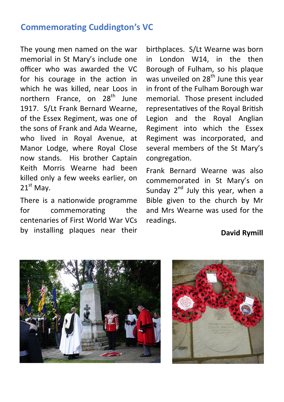### **Commemorating Cuddington's VC**

The young men named on the war memorial in St Mary's include one officer who was awarded the VC for his courage in the action in which he was killed, near Loos in northern France. on 28<sup>th</sup> June 1917. S/Lt Frank Bernard Wearne, of the Essex Regiment, was one of the sons of Frank and Ada Wearne, who lived in Royal Avenue, at Manor Lodge, where Royal Close now stands. His brother Captain Keith Morris Wearne had been killed only a few weeks earlier, on  $21<sup>st</sup>$  Mav.

There is a nationwide programme for commemorating the centenaries of First World War VCs by installing plaques near their

birthplaces. S/Lt Wearne was born in London W14, in the then Borough of Fulham, so his plaque was unveiled on  $28<sup>th</sup>$  June this year in front of the Fulham Borough war memorial. Those present included representatives of the Royal British Legion and the Royal Anglian Regiment into which the Essex Regiment was incorporated, and several members of the St Mary's congregation.

Frank Bernard Wearne was also commemorated in St Mary's on Sunday  $2^{nd}$  July this year, when a Bible given to the church by Mr and Mrs Wearne was used for the readings.

#### **David Rymill**



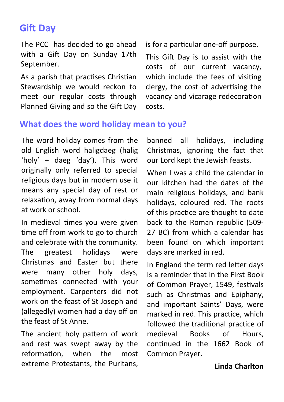# **Gift Dav**

The PCC has decided to go ahead with a Gift Day on Sunday 17th September.

As a parish that practises Christian Stewardship we would reckon to meet our regular costs through Planned Giving and so the Gift Day is for a particular one-off purpose.

This Gift Day is to assist with the costs of our current vacancy, which include the fees of visiting clergy, the cost of advertising the vacancy and vicarage redecoration costs.

### **What does the word holiday mean to you?**

The word holiday comes from the old English word haligdaeg (halig 'holy' + daeg 'day'). This word originally only referred to special religious days but in modern use it means any special day of rest or relaxation, away from normal days at work or school.

In medieval times you were given time off from work to go to church and celebrate with the community. The greatest holidays were Christmas and Easter but there were many other holy days, sometimes connected with your employment. Carpenters did not work on the feast of St Joseph and (allegedly) women had a day off on the feast of St Anne.

The ancient holy pattern of work and rest was swept away by the reformation. when the most extreme Protestants, the Puritans,

banned all holidays, including Christmas, ignoring the fact that our Lord kept the Jewish feasts.

When I was a child the calendar in our kitchen had the dates of the main religious holidays, and bank holidays, coloured red. The roots of this practice are thought to date back to the Roman republic (509- 27 BC) from which a calendar has been found on which important days are marked in red.

In England the term red letter days is a reminder that in the First Book of Common Prayer, 1549, festivals such as Christmas and Epiphany, and important Saints' Days, were marked in red. This practice, which followed the traditional practice of medieval Books of Hours, continued in the 1662 Book of Common Prayer.

#### **Linda Charlton**